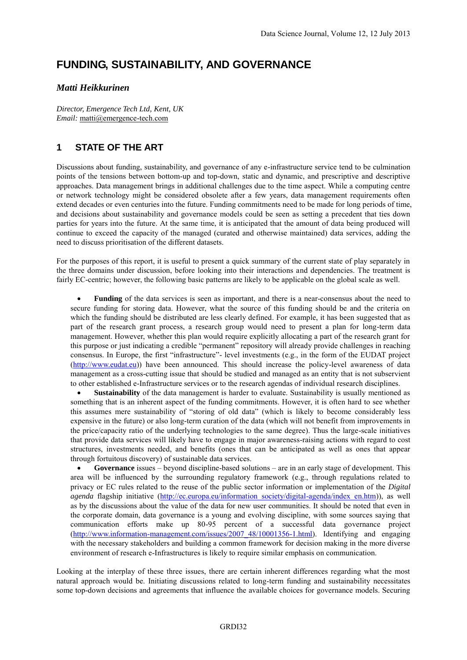# **FUNDING, SUSTAINABILITY, AND GOVERNANCE**

#### *Matti Heikkurinen*

*Director, Emergence Tech Ltd, Kent, UK Email:* matti@emergence-tech.com

#### **1 STATE OF THE ART**

Discussions about funding, sustainability, and governance of any e-infrastructure service tend to be culmination points of the tensions between bottom-up and top-down, static and dynamic, and prescriptive and descriptive approaches. Data management brings in additional challenges due to the time aspect. While a computing centre or network technology might be considered obsolete after a few years, data management requirements often extend decades or even centuries into the future. Funding commitments need to be made for long periods of time, and decisions about sustainability and governance models could be seen as setting a precedent that ties down parties for years into the future. At the same time, it is anticipated that the amount of data being produced will continue to exceed the capacity of the managed (curated and otherwise maintained) data services, adding the need to discuss prioritisation of the different datasets.

For the purposes of this report, it is useful to present a quick summary of the current state of play separately in the three domains under discussion, before looking into their interactions and dependencies. The treatment is fairly EC-centric; however, the following basic patterns are likely to be applicable on the global scale as well.

 **Funding** of the data services is seen as important, and there is a near-consensus about the need to secure funding for storing data. However, what the source of this funding should be and the criteria on which the funding should be distributed are less clearly defined. For example, it has been suggested that as part of the research grant process, a research group would need to present a plan for long-term data management. However, whether this plan would require explicitly allocating a part of the research grant for this purpose or just indicating a credible "permanent" repository will already provide challenges in reaching consensus. In Europe, the first "infrastructure"- level investments (e.g., in the form of the EUDAT project [\(http://www.eudat.eu\)](http://www.eudat.eu/)) have been announced. This should increase the policy-level awareness of data management as a cross-cutting issue that should be studied and managed as an entity that is not subservient to other established e-Infrastructure services or to the research agendas of individual research disciplines.

 **Sustainability** of the data management is harder to evaluate. Sustainability is usually mentioned as something that is an inherent aspect of the funding commitments. However, it is often hard to see whether this assumes mere sustainability of "storing of old data" (which is likely to become considerably less expensive in the future) or also long-term curation of the data (which will not benefit from improvements in the price/capacity ratio of the underlying technologies to the same degree). Thus the large-scale initiatives that provide data services will likely have to engage in major awareness-raising actions with regard to cost structures, investments needed, and benefits (ones that can be anticipated as well as ones that appear through fortuitous discovery) of sustainable data services.

 **Governance** issues – beyond discipline-based solutions – are in an early stage of development. This area will be influenced by the surrounding regulatory framework (e.g., through regulations related to privacy or EC rules related to the reuse of the public sector information or implementation of the *Digital agenda* flagship initiative [\(http://ec.europa.eu/information\\_society/digital-agenda/index\\_en.htm\)](http://ec.europa.eu/information_society/digital-agenda/index_en.htm)), as well as by the discussions about the value of the data for new user communities. It should be noted that even in the corporate domain, data governance is a young and evolving discipline, with some sources saying that communication efforts make up 80-95 percent of a successful data governance project [\(http://www.information-management.com/issues/2007\\_48/10001356-1.html\)](http://www.information-management.com/issues/2007_48/10001356-1.html). Identifying and engaging with the necessary stakeholders and building a common framework for decision making in the more diverse environment of research e-Infrastructures is likely to require similar emphasis on communication.

Looking at the interplay of these three issues, there are certain inherent differences regarding what the most natural approach would be. Initiating discussions related to long-term funding and sustainability necessitates some top-down decisions and agreements that influence the available choices for governance models. Securing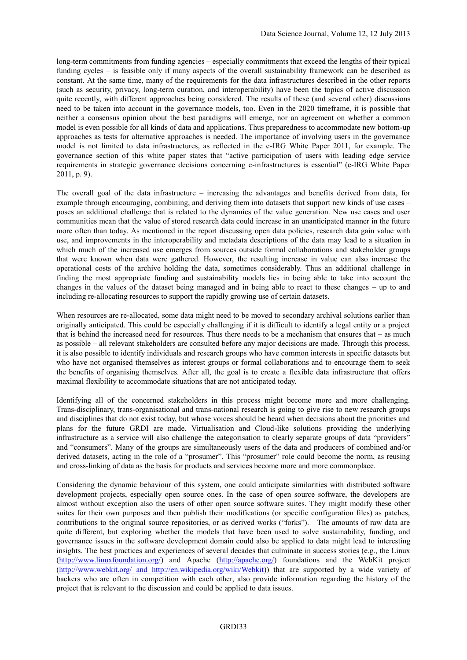long-term commitments from funding agencies – especially commitments that exceed the lengths of their typical funding cycles – is feasible only if many aspects of the overall sustainability framework can be described as constant. At the same time, many of the requirements for the data infrastructures described in the other reports (such as security, privacy, long-term curation, and interoperability) have been the topics of active discussion quite recently, with different approaches being considered. The results of these (and several other) discussions need to be taken into account in the governance models, too. Even in the 2020 timeframe, it is possible that neither a consensus opinion about the best paradigms will emerge, nor an agreement on whether a common model is even possible for all kinds of data and applications. Thus preparedness to accommodate new bottom-up approaches as tests for alternative approaches is needed. The importance of involving users in the governance model is not limited to data infrastructures, as reflected in the e-IRG White Paper 2011, for example. The governance section of this white paper states that "active participation of users with leading edge service requirements in strategic governance decisions concerning e-infrastructures is essential" (e-IRG White Paper 2011, p. 9).

The overall goal of the data infrastructure – increasing the advantages and benefits derived from data, for example through encouraging, combining, and deriving them into datasets that support new kinds of use cases – poses an additional challenge that is related to the dynamics of the value generation. New use cases and user communities mean that the value of stored research data could increase in an unanticipated manner in the future more often than today. As mentioned in the report discussing open data policies, research data gain value with use, and improvements in the interoperability and metadata descriptions of the data may lead to a situation in which much of the increased use emerges from sources outside formal collaborations and stakeholder groups that were known when data were gathered. However, the resulting increase in value can also increase the operational costs of the archive holding the data, sometimes considerably. Thus an additional challenge in finding the most appropriate funding and sustainability models lies in being able to take into account the changes in the values of the dataset being managed and in being able to react to these changes – up to and including re-allocating resources to support the rapidly growing use of certain datasets.

When resources are re-allocated, some data might need to be moved to secondary archival solutions earlier than originally anticipated. This could be especially challenging if it is difficult to identify a legal entity or a project that is behind the increased need for resources. Thus there needs to be a mechanism that ensures that – as much as possible – all relevant stakeholders are consulted before any major decisions are made. Through this process, it is also possible to identify individuals and research groups who have common interests in specific datasets but who have not organised themselves as interest groups or formal collaborations and to encourage them to seek the benefits of organising themselves. After all, the goal is to create a flexible data infrastructure that offers maximal flexibility to accommodate situations that are not anticipated today.

Identifying all of the concerned stakeholders in this process might become more and more challenging. Trans-disciplinary, trans-organisational and trans-national research is going to give rise to new research groups and disciplines that do not exist today, but whose voices should be heard when decisions about the priorities and plans for the future GRDI are made. Virtualisation and Cloud-like solutions providing the underlying infrastructure as a service will also challenge the categorisation to clearly separate groups of data "providers" and "consumers". Many of the groups are simultaneously users of the data and producers of combined and/or derived datasets, acting in the role of a "prosumer". This "prosumer" role could become the norm, as reusing and cross-linking of data as the basis for products and services become more and more commonplace.

Considering the dynamic behaviour of this system, one could anticipate similarities with distributed software development projects, especially open source ones. In the case of open source software, the developers are almost without exception also the users of other open source software suites. They might modify these other suites for their own purposes and then publish their modifications (or specific configuration files) as patches, contributions to the original source repositories, or as derived works ("forks"). The amounts of raw data are quite different, but exploring whether the models that have been used to solve sustainability, funding, and governance issues in the software development domain could also be applied to data might lead to interesting insights. The best practices and experiences of several decades that culminate in success stories (e.g., the Linux [\(http://www.linuxfoundation.org/\)](http://www.linuxfoundation.org/) and Apache [\(http://apache.org/\)](http://apache.org/) foundations and the WebKit project [\(http://www.webkit.org/](http://www.webkit.org/) and [http://en.wikipedia.org/wiki/Webkit\)](http://en.wikipedia.org/wiki/Webkit)) that are supported by a wide variety of backers who are often in competition with each other, also provide information regarding the history of the project that is relevant to the discussion and could be applied to data issues.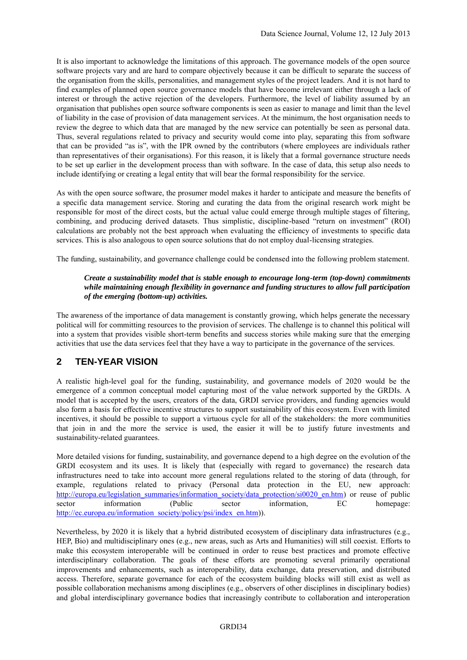It is also important to acknowledge the limitations of this approach. The governance models of the open source software projects vary and are hard to compare objectively because it can be difficult to separate the success of the organisation from the skills, personalities, and management styles of the project leaders. And it is not hard to find examples of planned open source governance models that have become irrelevant either through a lack of interest or through the active rejection of the developers. Furthermore, the level of liability assumed by an organisation that publishes open source software components is seen as easier to manage and limit than the level of liability in the case of provision of data management services. At the minimum, the host organisation needs to review the degree to which data that are managed by the new service can potentially be seen as personal data. Thus, several regulations related to privacy and security would come into play, separating this from software that can be provided "as is", with the IPR owned by the contributors (where employees are individuals rather than representatives of their organisations). For this reason, it is likely that a formal governance structure needs to be set up earlier in the development process than with software. In the case of data, this setup also needs to include identifying or creating a legal entity that will bear the formal responsibility for the service.

As with the open source software, the prosumer model makes it harder to anticipate and measure the benefits of a specific data management service. Storing and curating the data from the original research work might be responsible for most of the direct costs, but the actual value could emerge through multiple stages of filtering, combining, and producing derived datasets. Thus simplistic, discipline-based "return on investment" (ROI) calculations are probably not the best approach when evaluating the efficiency of investments to specific data services. This is also analogous to open source solutions that do not employ dual-licensing strategies.

The funding, sustainability, and governance challenge could be condensed into the following problem statement.

#### *Create a sustainability model that is stable enough to encourage long-term (top-down) commitments while maintaining enough flexibility in governance and funding structures to allow full participation of the emerging (bottom-up) activities.*

The awareness of the importance of data management is constantly growing, which helps generate the necessary political will for committing resources to the provision of services. The challenge is to channel this political will into a system that provides visible short-term benefits and success stories while making sure that the emerging activities that use the data services feel that they have a way to participate in the governance of the services.

#### **2 TEN-YEAR VISION**

A realistic high-level goal for the funding, sustainability, and governance models of 2020 would be the emergence of a common conceptual model capturing most of the value network supported by the GRDIs. A model that is accepted by the users, creators of the data, GRDI service providers, and funding agencies would also form a basis for effective incentive structures to support sustainability of this ecosystem. Even with limited incentives, it should be possible to support a virtuous cycle for all of the stakeholders: the more communities that join in and the more the service is used, the easier it will be to justify future investments and sustainability-related guarantees.

More detailed visions for funding, sustainability, and governance depend to a high degree on the evolution of the GRDI ecosystem and its uses. It is likely that (especially with regard to governance) the research data infrastructures need to take into account more general regulations related to the storing of data (through, for example, regulations related to privacy (Personal data protection in the EU, new approach: [http://europa.eu/legislation\\_summaries/information\\_society/data\\_protection/si0020\\_en.htm\)](http://europa.eu/legislation_summaries/information_society/data_protection/si0020_en.htm) or reuse of public sector information (Public sector information, EC homepage: [http://ec.europa.eu/information\\_society/policy/psi/index\\_en.htm\)](http://ec.europa.eu/information_society/policy/psi/index_en.htm)).

Nevertheless, by 2020 it is likely that a hybrid distributed ecosystem of disciplinary data infrastructures (e.g., HEP, Bio) and multidisciplinary ones (e.g., new areas, such as Arts and Humanities) will still coexist. Efforts to make this ecosystem interoperable will be continued in order to reuse best practices and promote effective interdisciplinary collaboration. The goals of these efforts are promoting several primarily operational improvements and enhancements, such as interoperability, data exchange, data preservation, and distributed access. Therefore, separate governance for each of the ecosystem building blocks will still exist as well as possible collaboration mechanisms among disciplines (e.g., observers of other disciplines in disciplinary bodies) and global interdisciplinary governance bodies that increasingly contribute to collaboration and interoperation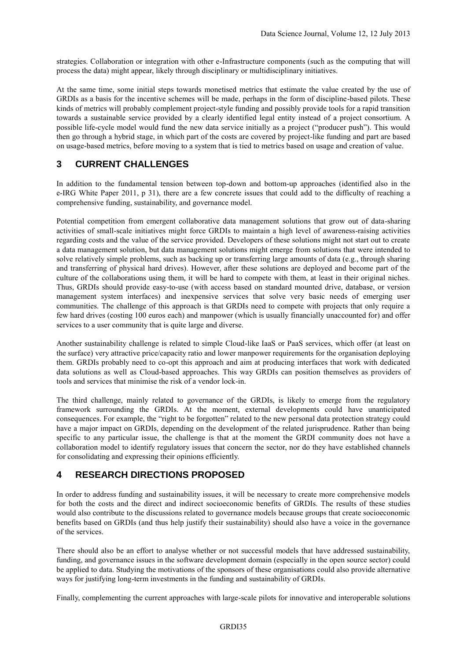strategies. Collaboration or integration with other e-Infrastructure components (such as the computing that will process the data) might appear, likely through disciplinary or multidisciplinary initiatives.

At the same time, some initial steps towards monetised metrics that estimate the value created by the use of GRDIs as a basis for the incentive schemes will be made, perhaps in the form of discipline-based pilots. These kinds of metrics will probably complement project-style funding and possibly provide tools for a rapid transition towards a sustainable service provided by a clearly identified legal entity instead of a project consortium. A possible life-cycle model would fund the new data service initially as a project ("producer push"). This would then go through a hybrid stage, in which part of the costs are covered by project-like funding and part are based on usage-based metrics, before moving to a system that is tied to metrics based on usage and creation of value.

# **3 CURRENT CHALLENGES**

In addition to the fundamental tension between top-down and bottom-up approaches (identified also in the e-IRG White Paper 2011, p 31), there are a few concrete issues that could add to the difficulty of reaching a comprehensive funding, sustainability, and governance model.

Potential competition from emergent collaborative data management solutions that grow out of data-sharing activities of small-scale initiatives might force GRDIs to maintain a high level of awareness-raising activities regarding costs and the value of the service provided. Developers of these solutions might not start out to create a data management solution, but data management solutions might emerge from solutions that were intended to solve relatively simple problems, such as backing up or transferring large amounts of data (e.g., through sharing and transferring of physical hard drives). However, after these solutions are deployed and become part of the culture of the collaborations using them, it will be hard to compete with them, at least in their original niches. Thus, GRDIs should provide easy-to-use (with access based on standard mounted drive, database, or version management system interfaces) and inexpensive services that solve very basic needs of emerging user communities. The challenge of this approach is that GRDIs need to compete with projects that only require a few hard drives (costing 100 euros each) and manpower (which is usually financially unaccounted for) and offer services to a user community that is quite large and diverse.

Another sustainability challenge is related to simple Cloud-like IaaS or PaaS services, which offer (at least on the surface) very attractive price/capacity ratio and lower manpower requirements for the organisation deploying them. GRDIs probably need to co-opt this approach and aim at producing interfaces that work with dedicated data solutions as well as Cloud-based approaches. This way GRDIs can position themselves as providers of tools and services that minimise the risk of a vendor lock-in.

The third challenge, mainly related to governance of the GRDIs, is likely to emerge from the regulatory framework surrounding the GRDIs. At the moment, external developments could have unanticipated consequences. For example, the "right to be forgotten" related to the new personal data protection strategy could have a major impact on GRDIs, depending on the development of the related jurisprudence. Rather than being specific to any particular issue, the challenge is that at the moment the GRDI community does not have a collaboration model to identify regulatory issues that concern the sector, nor do they have established channels for consolidating and expressing their opinions efficiently.

## **4 RESEARCH DIRECTIONS PROPOSED**

In order to address funding and sustainability issues, it will be necessary to create more comprehensive models for both the costs and the direct and indirect socioeconomic benefits of GRDIs. The results of these studies would also contribute to the discussions related to governance models because groups that create socioeconomic benefits based on GRDIs (and thus help justify their sustainability) should also have a voice in the governance of the services.

There should also be an effort to analyse whether or not successful models that have addressed sustainability, funding, and governance issues in the software development domain (especially in the open source sector) could be applied to data. Studying the motivations of the sponsors of these organisations could also provide alternative ways for justifying long-term investments in the funding and sustainability of GRDIs.

Finally, complementing the current approaches with large-scale pilots for innovative and interoperable solutions